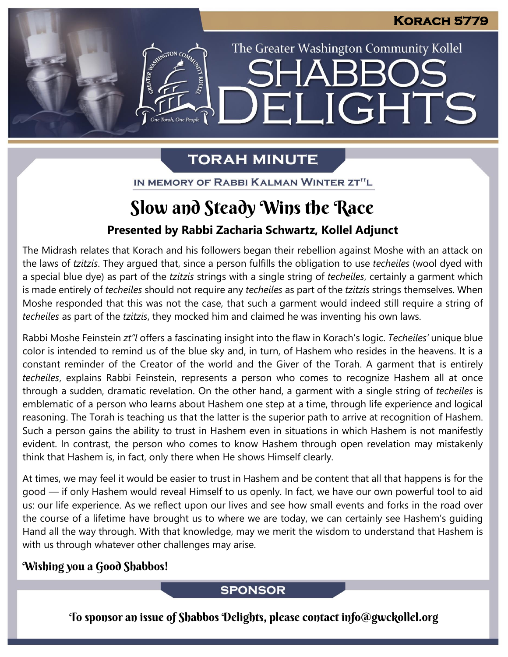The Greater Washington Community Kollel

LIGHTS

### **TORAH MINUTE**

FI

EMERGION CON

IN MEMORY OF RABBI KALMAN WINTER ZT"L

### Slow and Steady Wins the Race

#### **Presented by Rabbi Zacharia Schwartz, Kollel Adjunct**

The Midrash relates that Korach and his followers began their rebellion against Moshe with an attack on the laws of *tzitzis*. They argued that, since a person fulfills the obligation to use *techeiles* (wool dyed with a special blue dye) as part of the *tzitzis* strings with a single string of *techeiles*, certainly a garment which is made entirely of *techeiles* should not require any *techeiles* as part of the *tzitzis* strings themselves. When Moshe responded that this was not the case, that such a garment would indeed still require a string of *techeiles* as part of the *tzitzis*, they mocked him and claimed he was inventing his own laws.

Rabbi Moshe Feinstein *zt"l* offers a fascinating insight into the flaw in Korach's logic. *Techeiles'* unique blue color is intended to remind us of the blue sky and, in turn, of Hashem who resides in the heavens. It is a constant reminder of the Creator of the world and the Giver of the Torah. A garment that is entirely *techeiles*, explains Rabbi Feinstein, represents a person who comes to recognize Hashem all at once through a sudden, dramatic revelation. On the other hand, a garment with a single string of *techeiles* is emblematic of a person who learns about Hashem one step at a time, through life experience and logical reasoning. The Torah is teaching us that the latter is the superior path to arrive at recognition of Hashem. Such a person gains the ability to trust in Hashem even in situations in which Hashem is not manifestly evident. In contrast, the person who comes to know Hashem through open revelation may mistakenly think that Hashem is, in fact, only there when He shows Himself clearly.

At times, we may feel it would be easier to trust in Hashem and be content that all that happens is for the good — if only Hashem would reveal Himself to us openly. In fact, we have our own powerful tool to aid us: our life experience. As we reflect upon our lives and see how small events and forks in the road over the course of a lifetime have brought us to where we are today, we can certainly see Hashem's guiding Hand all the way through. With that knowledge, may we merit the wisdom to understand that Hashem is with us through whatever other challenges may arise.

#### Wishing you a Good Shabbos!

#### **SPONSOR**

To sponsor an issue of Shabbos Delights, please contact info@gwckollel.org